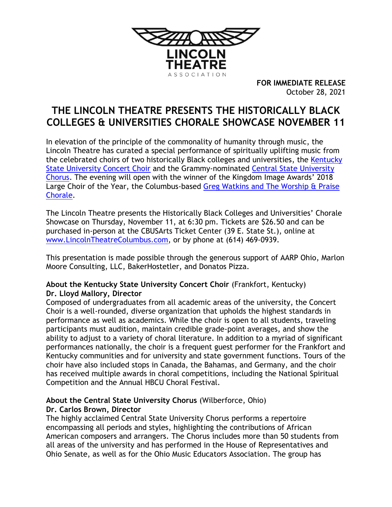

**FOR IMMEDIATE RELEASE** October 28, 2021

# **THE LINCOLN THEATRE PRESENTS THE HISTORICALLY BLACK COLLEGES & UNIVERSITIES CHORALE SHOWCASE NOVEMBER 11**

In elevation of the principle of the commonality of humanity through music, the Lincoln Theatre has curated a special performance of spiritually uplifting music from the celebrated choirs of two historically Black colleges and universities, the [Kentucky](https://www.kysu.edu/academics/college-hbs/school-of-hpa/music-performing-ensembles-concert-choir.php)  [State University Concert Choir](https://www.kysu.edu/academics/college-hbs/school-of-hpa/music-performing-ensembles-concert-choir.php) and the Grammy-nominated [Central State University](https://www.centralstate.edu/academics/CHAS/music_art/chorus.php?num=4)  [Chorus.](https://www.centralstate.edu/academics/CHAS/music_art/chorus.php?num=4) The evening will open with the winner of the Kingdom Image Awards' 2018 Large Choir of the Year, the Columbus-based Greg Watkins and The Worship & Praise [Chorale.](https://www.facebook.com/Gregory-J-Watkins-and-The-Worship-Praise-Chorale-110786861191580/)

The Lincoln Theatre presents the Historically Black Colleges and Universities' Chorale Showcase on Thursday, November 11, at 6:30 pm. Tickets are \$26.50 and can be purchased in-person at the CBUSArts Ticket Center (39 E. State St.), online at [www.LincolnTheatreColumbus.com,](http://www.lincolntheatrecolumbus.com/) or by phone at (614) 469-0939.

This presentation is made possible through the generous support of AARP Ohio, Marlon Moore Consulting, LLC, BakerHostetler, and Donatos Pizza.

# **About the Kentucky State University Concert Choir** (Frankfort, Kentucky) **Dr. Lloyd Mallory, Director**

Composed of undergraduates from all academic areas of the university, the Concert Choir is a well-rounded, diverse organization that upholds the highest standards in performance as well as academics. While the choir is open to all students, traveling participants must audition, maintain credible grade-point averages, and show the ability to adjust to a variety of choral literature. In addition to a myriad of significant performances nationally, the choir is a frequent guest performer for the Frankfort and Kentucky communities and for university and state government functions. Tours of the choir have also included stops in Canada, the Bahamas, and Germany, and the choir has received multiple awards in choral competitions, including the National Spiritual Competition and the Annual HBCU Choral Festival.

# **About the Central State University Chorus** (Wilberforce, Ohio) **Dr. Carlos Brown, Director**

The highly acclaimed Central State University Chorus performs a repertoire encompassing all periods and styles, highlighting the contributions of African American composers and arrangers. The Chorus includes more than 50 students from all areas of the university and has performed in the House of Representatives and Ohio Senate, as well as for the Ohio Music Educators Association. The group has